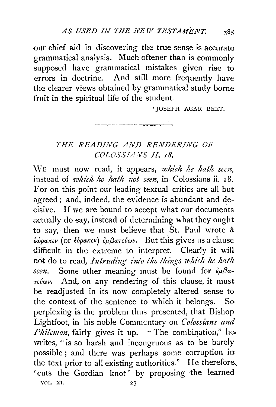our chief aid in discovering the true sense is accurate grammatical analysis. Much oftener than is commonly supposed have grammatical mistakes given rise to errors in doctrine. And still more frequently have the clearer views obtained by grammatical study borne fruit in the spiritual life of the student.

> 'JOSEPH AGAR DEET. ----------

## *THE READING AJV'D RENDERING OF COLOSSIA.VS* If. *z8.*

\YE must now read, it appears, *which he hath sem,*  instead of *which he hath uot sem,* in- Colossians ii. 18. For on this point our leading textual critics are all but agreed ; and, indeed, the evidence is abundant and decisive. If we are bound to accept what our documents actually do say, instead of determining what they ought to say, then we must believe that St. Paul wrote & *€wpa1Ccv* (or *€opa1Cev) €pjjaTevwv.* But this gives us a clause difficult in the extreme to interpret. Clearly it will not do to read, *Intruding into the things which he hath seen.* Some other meaning must be found for  $\epsilon \mu \beta a$ -*.,evwz,.* And, on any rendering of this clause, it must be readjusted in its now completely altered sense to the context of the sentence to which it belongs. So perplexing is the problem thus presented, that Bishop Lightfoot, in his noble Commentary on *Colossians and Philemon*, fairly gives it up. " The combination," hewrites, "is so harsh and incongruous as to be barely possible ; and there was perhaps some corruption in the text prior to all existing authorities." He therefore, 'cuts the Gordian knot ' by proposing the learned VOL. XI.  $27$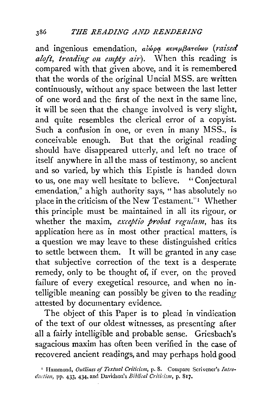and ingenious emendation, *alwpq, K€vep,f3aT€uwv (raised aloft, treading on empty air*). When this reading is compared with that given above, and it is remembered that the words of the original U ncial MSS. are written continuously, without any space between the last letter of one word and the first of the next in the same line, it will be seen that the change involved is very slight, and quite resembles the clerical error of a copyist. Such a confusion in one, or even in many MSS., is conceivable enough. But that the original reading should have disappeared utterly, and left no trace of itself anywhere in all the mass of testimony, so ancient and so varied, by which this Epistle is handed down to us, one may well hesitate to believe. ''Conjectural emendation," a high authority says, "has absolutely no place in the criticism of the New Testament." Whether this principle must be. maintained in all its rigour, or whether the maxim, *exceptio probat regulam*, has its application here as in most other practical matters, is a question we may leave to these distinguished critics to settle between them. It will be granted in any case that subjective correction of the text is a desperate remedy, only to be thought of, if ever, on the proved failure of every exegetical resource, and when no intelligible meaning can possibly be given to the reading attested by documentary evidence.

The object of this Paper is to plead in vindication of the text of our oldest witnesses, as presenting after all a fairly intelligible and probable sense. Griesbach's sagacious maxim has often been verified in the case of recovered ancient readings, and may perhaps hold good

<sup>&</sup>lt;sup>1</sup> Hammond, *Outlines of Textual Criticism*, p. 8. Compare Scrivener's Intro*dudion,* pp. 433, 434, and Davidson's *Biblical Criticism,* p. 817,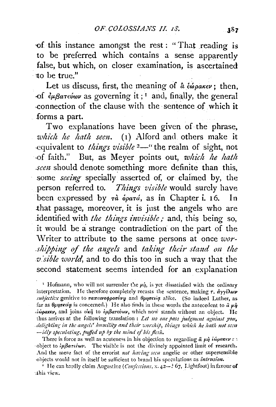of this instance amongst the rest : "That reading is to be preferred which contains a sense apparently false, but which, on closer examination, is ascertained to be true."

Let us discuss, first, the meaning of  $\hat{a} \epsilon \omega_{\rho} a \kappa \epsilon \nu$ ; then,  $-f$   $\partial f \partial \phi$  *legarevov* as governing it;<sup>1</sup> and, finally, the general connection of the clause with the sentence of which it forms a part.

Two explanations have been given of the phrase, *which he hath seen.* (1) Alford and others make it equivalent to *things visible* <sup>2</sup>—" the realm of sight, not -of faith." But, as Meyer points out, *which he hatlt seen* should denote something more definite than this, some *seeing* specially asserted of, or claimed by, the person referred to. *Things visible* would surely have been expressed by  $\tau \hat{a}$  *opará*, as in Chapter i. 16. In .that passage, moreover, it is just the angels who are identified with *the things invisible*; and, this being so, it would be a strange contradiction on the part of the \V riter to attribute to the same persons at once *worshipping of the angels* and *taking their stand on the v.'sible world,* and to do this too in such a way that the second statement seems intended for an explanation

<sup>I</sup> Hofmann, who will not surrender the  $\mu\eta$ , is yet dissatisfied with the ordinary interpretation. He therefore completely recasts the sentence, making  $\tau$ ,  $\partial y \partial \omega \nu$ *subjective* genitive to *ranewooppooivy* and  $\theta$ *pnoxtiq* alike. (So indeed Luther, as far as  $\theta \rho \eta \sigma \kappa \epsilon / q$  is concerned.) He also finds in these words the antecedent to  $\hat{a} \mu \hat{\eta}$  $i$ <sup>i</sup> iparty, and joins  $\epsilon$ irij to  $i$  $\mu\beta$ ar $\epsilon$ *i* wy, which now stands without an object. He thus arrives at the following translation : *Let no one pass judgment against you*, *.delighting iu the angds' lmmility and their zc•orship, tlliugs whidt he lwth not scaz -idly speculating, pujfed up* by *the miud of liis jksh.* 

There is force as well as acuteness in his objection to regarding  $\hat{a}$  μή *έώρακεντ* ·object to *ip{3ard·wl'.* The visib!e is not the divinely appointed limit of research. And the mere fact of the errorist *not having seen* angelic or other supersensible objects would not in itself be sufficient to brand his speculations as *intrusion*.

<sup>2</sup> He can hardly claim Augustine (*Confessions*, x. 42--? 67, Lightfoot) in favour of ·.this view.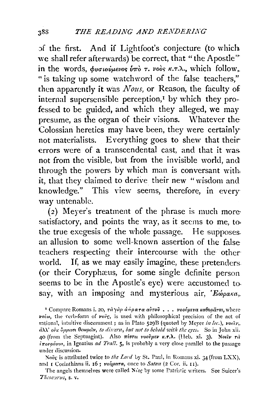of the first. And if Lightfoot's conjecture (to which we shall refer afterwards) be correct, that "the Apostle" in the words,  $\phi$ voιούμενος ύπό τ. νοός κ.τ.λ., which follow, " is taking up some watchword of the false teachers," then apparently it was  $Nous$ , or Reason, the faculty of internal supersensible perception,<sup>1</sup> by which they professed to be guided, and which they alleged, we may presume, as the organ of their visions. Whatever the Colossian heretics may have been, they were certainly not materialists. Everything goes to shew that their errors were of a transcendental cast, and that it was not from the visible, but from the invisible world, and through the powers by which man is conversant with it, that they claimed to derive their new "wisdom and knowledge." This view seems, therefore, in every way untenable.

(2) Meyer's treatment of the phrase is much more satisfactory, and points the way, as it seems to me, to. the true exegesis of the whole passage. He supposes. an allusion to some well-known assertion of the false teachers respecting their intercourse with the other world. If, as we may easily imagine, these pretenders. (or their Coryphæus, for some single definite person. seems to be in the Apostle's eye) were accustomed to say, with an imposing and mysterious air, 'Eώρακα,.

<sup>1</sup> Compare Romans i. 20, τάγαρ άφρατα αύτου... νοούμενα καθυράται, where volw, the verb-form of vove, is used with philosophical precision of the act of rational, intuitive discernment; as in Plato 529B (quoted by Meyer in loc.), voetv,. άλλ' ούκ ύμμασι θεωρείν, to discern, but not to behold with the eyes. So in John xii. 40 (from the Septuagint). Also πίστει νοούμεν κ.τ.λ. (Heb. xi. 3). Νοεΐν τά  $i\pi$ ovoára, in Ignatius ad Trall. 5, is probably a very close parallel to the passage under discussion.

Nove is attributed twice to the Lord by St. Paul, in Romans xi. 34 (from LXX), and I Corinthians ii. 16; ronuara, once to Satan (2 Cor. ii. 11).

The angels themselves were called Norg by some Patristic writers. See Suicer's Thesaurus, s. v.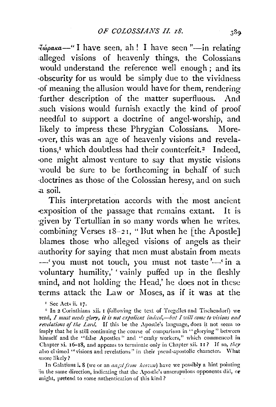∛фрака—"I have seen, ah! I have seen "—in relating alleged visions of heavenly things, the Colossians would understand the reference well enough; and its obscurity for us would be simply due to the vividness of meaning the allusion would have for them, rendering further description of the matter superfluous. And such visions would furnish exactly the kind of proof needful to support a doctrine of angel-worship, and likely to impress these Phrygian Colossians. Moreover, this was an age of heavenly visions and revelations,<sup>I</sup> which doubtless had their counterfeit.<sup>2</sup> Indeed, one might almost venture to say that mystic visions would be sure to be forthcoming in behalf of such doctrines as those of the Colossian heresy, and on such a soil.

This interpretation accords with the most ancient exposition of the passage that remains extant. It is given by Tertullian in so many words when he writes. combining Verses  $18-21$ , "But when he [the Apostle] blames those who alleged visions of angels as their authority for saying that men must abstain from meats -'you must not touch, you must not taste'-'in a voluntary humility,' vainly puffed up in the fleshly mind, and not holding the Head,' he does not in these terms attack the Law or Moses, as if it was at the

<sup>1</sup> See Acts ii. 17.

<sup>2</sup> In 2 Corinthians xii. I (following the text of Tregelles and Tischendorf) we read, I must needs glory, it is not expedient indeed,-but I will come to visions and revelations of the Lord. If this be the Apostle's language, does it not seem to imply that he is still continuing the course of comparison in "glorying" between himself and the "false Apostles" and "crafty workers," which commenced in Chapter xi. 16-18, and appears to terminate only in Chapter xii. 11? If so, they also claimed "visions and revelations" in their pseud-apostolic character. What more likely?

In Galatians i. 8 (we or an angel from heaven) have we possibly a hint pointing in the same direction, indicating that the Apostle's unscrupulous opponents did, or might, pretend to some authentication of this kind?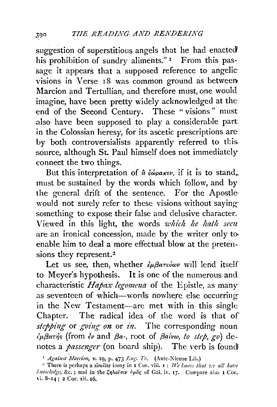suggestion of superstitious angels that he had enacted his prohibition of sundry aliments."<sup>1</sup> From this passage it appears that a supposed reference to angelic visions in Verse 18 was common ground as between Marcion and Tertullian, and therefore must, one would imagine, have been pretty widely acknowledged at the end of the Second Century. These "visions" must also have been supposed to play a considerable part. in the Colossian heresy, for its ascetic prescriptions are by both controversialists apparently referred to this source, although St. Paul himself does not immediately connect the two things.

But this interpretation of  $\hat{a}$  έώρακεν, if it is to stand, must be sustained by the words which follow, and by the general drift of the sentence. For the Apostlewould not surely refer to these visions without saying something to expose their false and delusive character. Viewed in this light, the words which he hath seen are an ironical concession, made by the writer only to enable him to deal a more effectual blow at the pretensions they represent.<sup>2</sup>

Let us see, then, whether  $\partial_{\mu}\beta a\tau \partial_{\mu}\omega \nu$  will lend itself to Meyer's hypothesis. It is one of the numerous and characteristic Hapax legomena of the Epistle, as many as seventeen of which—words nowhere else occurring in the New Testament—are met with in this single Chapter. The radical idea of the word is that of slepping or going on or in. The corresponding noun  $\partial_\mu \beta a \tau \eta$ s (from  $\partial_\nu$  and  $\beta a$ -, root of  $\beta a \nu \omega$ , to step, go) denotes a *passenger* (on board ship). The verb is found

<sup>&</sup>lt;sup>1</sup> Against Marcion, v. 19, p. 473 Eng. Tr. (Ante-Nicene Lib.)

<sup>&</sup>lt;sup>2</sup> There is perhaps a similar irony in I Cor. viii. I: We know that we all have *l.nowledge*, &c.; and in the ζηλοΐσιν υμάς of Gal. iv. 17. Compare also 1 Cor. vi. 8-14; 2 Cor. xii. 16.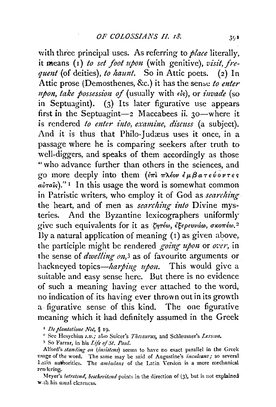with three principal uses. As referring to *place* literally, it means  $(I)$  to set foot upon (with genitive), visit, frequent (of deities), to haunt. So in Attic poets. (2) In Attic prose (Demosthenes, &c.) it has the sense to enter *npon, take possession of* (usually with  $\epsilon$ *is*), or *invade* (so in Septuagint). (3) Its later figurative use appears first in the Septuagint- $2$  Maccabees ii. 30-where it is rendered to enter into, examine, discuss (a subject). And it is thus that Philo-Judæus uses it once, in a passage where he is comparing seekers after truth to well-diggers, and speaks of them accordingly as those "who advance further than others in the sciences, and go more deeply into them  $(\epsilon \pi)$   $\pi \lambda \epsilon$ ov  $\epsilon \mu \beta a \tau \epsilon \nu \sigma \nu \tau \epsilon$ s  $a\dot{v}\tau a\hat{\kappa}$ )."<sup>1</sup> In this usage the word is somewhat common in Patristic writers, who employ it of God as searching the heart, and of men as *searching into* Divine mysteries. And the Byzantine lexicographers uniformly give such equivalents for it as  $\zeta \eta \tau \epsilon \omega$ ,  $\zeta \xi \epsilon \rho \epsilon \nu \nu \omega \omega$ ,  $\sigma \kappa \sigma \tau \epsilon \omega$ . By a natural application of meaning  $(1)$  as given above, the participle might be rendered going upon or over, in the sense of *dwelling on*,<sup>3</sup> as of favourite arguments or hackneyed topics—harping upon. This would give a suitable and easy sense here. But there is no evidence of such a meaning having ever attached to the word, no indication of its having ever thrown out in its growth a figurative sense of this kind. The one figurative meaning which it had definitely assumed in the Greek

<sup>1</sup> De plantatione Noë, § 19.

<sup>2</sup> See Hesychius s.v.; also Suicer's Thesaurus, and Schleusner's Lexicon.

<sup>3</sup> So Farrar, in his Life of St, Paul.

Alford's standing on (insistens) seems to have no exact parallel in the Greek usage of the word. The same may be said of Augustine's *inculcans*; so several Latin authorities. The ambulans of the Latin Version is a mere mechanical rendering.

Meyer's betretend, beschreitend points in the direction of (3), but is not explained with his usual elearness.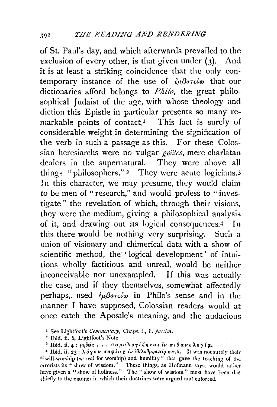of St. Paul's day, and which afterwards prevailed to the exclusion of every other, is that given under  $(3)$ . And it is at least a striking coincidence that the only contemporary instance of the use of εμβατεύω that our dictionaries afford belongs to *Philo*, the great philosophical Judaist of the age, with whose theology and diction this Epistle in particular presents so many remarkable points of contact.<sup>1</sup> This fact is surely of considerable weight in determining the signification of the verb in such a passage as this. For these Colossian heresiarchs were no vulgar *goëtes*, mere charlatan dealers in the supernatural. They were above all things "philosophers."<sup>2</sup> They were acute logicians.<sup>3</sup> In this character, we may presume, they would claim to be men of "research," and would profess to " investigate " the revelation of which, through their visions, they were the medium, giving a philosophical analysis of it, and drawing out its logical consequences.4 In this there would be nothing very surprising. Such a union of visionary and chimerical data with a show of scientific method, the ' logical development' of intuitions wholly factitious and unreal, would be neither inconceivable nor unexampled. If this was actually the case, and if they themselves, somewhat affectedly perhaps, used *εμβατεύω* in Philo's sense and in the manner I have supposed, Colossian readers would at once catch the Apostle's meaning, and the audacious

<sup>&</sup>lt;sup>1</sup> See Lightfoot's *Commentary*, Chaps. i., ii. *passim*.

<sup>&</sup>lt;sup>2</sup> Ibid. ii. 8, Lightfoot's Note

<sup>&</sup>lt;sup>3</sup> Ibid. ii. 4: μηδείς . . . παραλογίζηται εν πιθανολογία.

<sup>&</sup>lt;sup>4</sup> Ibid. ii. 23 : λύγον σοφίας εν εθελοθρησκεία κ.τ.λ. It was not surely their "will-worship *(or* zeal for worship) and humility" that gave the teaching of the crrorists its "show of wisdom." These things, as Hofmann says, would rather have given a "show of holiness." The "show of wisdom" must have been due thiefly to the manner in which their doctrines were argued and enforced.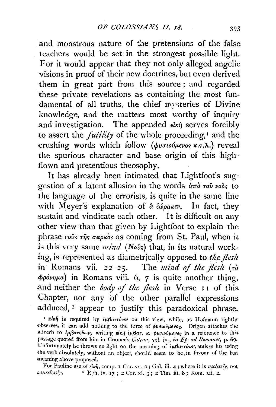and monstrous nature of the pretensions of the false teachers would be set in the strongest possible light. For it would appear that they not only alleged angelic visions in proof of their new doctrines, but even derived them in great part from this source; and regarded these private revelations as containing the most fun damental of all truths, the chief nysteries of Divine knowledge, and the matters most worthy of inquiry and investigation. The appended  $e^{ikn\hat{\eta}}$  serves forcibly to assert the *futility* of the whole proceeding,<sup>*r*</sup> and the crushing words which follow ( $\phi$ *us ιούμενος κ.τ.λ.*) reveal the spurious character and base origin of this highflown and pretentious theosophy.

It has already been intimated that Lightfoot's sug· gestion of a latent allusion in the words  $\hat{v}$ <sup>n</sup>  $\hat{v}$  vois to the language of the errorists, is quite in the same line with Meyer's explanation of  $\hat{a} \epsilon_{\omega\rho\alpha\kappa\epsilon\nu}$ . In fact, they sustain and vindicate each other. It is difficult on any other view than that given by Lightfoot to explain the phrase *vovs*  $\tau\hat{\eta}$ s *gapkos* as coming from St. Paul, when it is this very same *mind* (Nov<sup>3</sup>s) that, in its natural working, is represented as diametrically opposed to *the flesh*  in Romans vii. 22-25. The *mind of the flesh* (To  $\phi$ *povnµa*) in Romans viii. 6, 7 is quite another thing, and neither the *body of the flesh* in Verse 11 of this Chapter, nor any of the other parallel expressions adduced, <sup>2</sup> appear to justify this paradoxical phrase.

<sup>1</sup> *Eich* is required by *iμβuτεύων* on this view, while, as Hofmann rightly observes, it can add nothing to the force of φυσιούμενος. Origen attaches the adverb to lußarebwy, writing Einj ipßar.  $\kappa$ .  $\phi$ voloupevog in a reference to this passage quoted from him in Cramer's *Catena*, vol. iv., in Ep. ad Romanos, p. 69. Unfortunately he throws no light on the meaning of  $i\mu\beta$ arsiwv, unless his using the verb absolutely, without an object, should seem to be in favour of the last meaning above proposed.

For Pauline use of  $\epsilon l\omega \tilde{\eta}$ , comp. 1 Cor. xv. 2; Gal. iii. 4; where it is *uselessly*, not causelessly,  $\frac{1}{2}$  Eph. iv. 17; 2 Cor. xi. 3; 2 Tim. iii. 8; Rom, xii. 2. <sup>2</sup> Eph. iv. 17 ; 2 Cor. xi. 3; 2 Tim. iii. 8; Rom. xii. 2.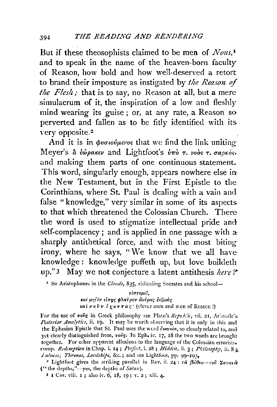But if these theosophists claimed to be men of Nous,<sup>1</sup> and to speak in the name of the heaven-born faculty of Reason how bold and how well-deserved a retort to brand their imposture as instigated by the Reason of the Flesh; that is to say, no Reason at all, but a mere simulaerum of it, the inspiration of a low and fleshly mind wearing its guise; or, at any rate, a Reason so perverted and fallen as to be fitly identified with its very opposite.<sup>2</sup>

And it is in  $\phi$ volovieros that we find the link uniting Mever's α εώρακεν and Lightfoot's ύπο τ. νοος τ. σαρκός, and making them parts of one continuous statement. This word, singularly enough, appears nowhere else in the New Testament, but in the First Epistle to the Corinthians, where St. Paul is dealing with a vain and false "knowledge," very similar in some of its aspects to that which threatened the Colossian Church. There the word is used to stigmatize intellectual pride and self-complacency; and is applied in one passage with a sharply antithetical force, and with the most biting irony, where he says, "We know that we all have knowledge: knowledge puffeth up, but love buildeth up."3 May we not conjecture a latent antithesis here?"

<sup>1</sup> So Aristophanes in the *Clouds*, 835, ridiculing Socrates and his school-

εύστομεϊ. και μηΐεν είπης φλαϊρον άνέρας δεξιούς  $k$ ai  $\nu$  o  $\tilde{\nu}$   $\nu$   $\tilde{\ell}$   $\chi$  o  $\nu$   $\tau$  a  $c$  ' (clever men and men of Reason!)

For the use of vove in Greek philosophy see Plato's Republic, vii. 21, Aristotle's-Posterior Analytics, ii. 19. It may be worth observing that it is only in this and the Ephesian Epistle that St. Paul uses the word čurvoia, so closely related to, and yet clearly distinguished from, rovs. In Eph. iv. 17, 18 the two words are brought together. For other apparent allusions to the language of the Colossian errorists. comp. Redemption in Chap. i. 14; Perfect, i. 28; Hidden, ii. 3; Philosophy, ii. 8: Iuluess; Thrones, Lordships, &c.; and see Lightfoot, pp. 99-10?.

<sup>2</sup> Lightfoot gives the striking parallel in Rev. ii. 24: rà  $\beta d\theta \epsilon a$ -rov  $\Sigma a \tau a \nu \tilde{a}$ ("the depths,"-yes, the depths of Satan).

<sup>3</sup> I Cor. viii. I; also iv. 6, 18, 19; v. 2; xiii. 4.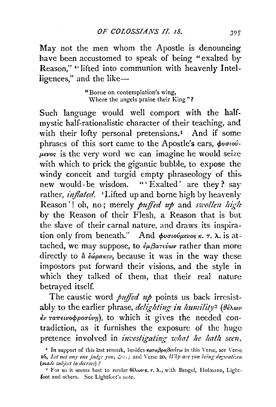May not the men whom the Apostle is denouncing have been accustomed to speak of being "exalted by Reason," "lifted into communion with heavenly Intelligences," and the like-

> "Borne on contemplation's wing, Where the angels praise their King"?

Such language would well comport with the halfmystic half-rationalistic character of their teaching, and with their lofty personal pretensions.<sup>1</sup> And if some phrases of this sort came to the Apostle's ears, φυσιού- $\mu \in V$  is the very word we can imagine he would seize with which to prick the gigantic bubble, to expose the windy conceit and turgid empty phraseology of this new would-be wisdom. "'Exalted' are they? say rather, *inflated*. 'Lifted up and borne high by heavenly Reason'! oh, no; merely *puffed up* and *swollen high* by the Reason of their Flesh, a Reason that is but the slave of their carnal nature, and draws its inspiration only from beneath." And  $\phi$ νσιούμενος κ. τ. λ. is attached, we may suppose, to  $\partial \mu \beta a \tau \partial \omega \nu$  rather than more directly to  $\hat{a}$  έώρακεν, because it was in the way these. impostors put forward their visions, and the style in which they talked of them, that their real nature betrayed itself.

The caustic word *puffed up* points us back irresistably to the earlier phrase, *delighting in humility*<sup>2</sup> ( $\theta \hat{\epsilon} \lambda \omega \nu$ ) έν ταπεινοφροσύνη), to which it gives the needed contradiction, as it furnishes the exposure of the huge pretence involved in *investigating what he hath seen*.

<sup>&</sup>lt;sup>1</sup> In support of this last remark, besides καταβραβενέτω in this Verse, see Verse-16, Let not any one judge you, &c.; and Verse 20, Why are you being dogmatizea (made subject to decrees)?

<sup>&</sup>lt;sup>2</sup> For so it seems best to render  $\theta \in \lambda \omega \nu \kappa$ ,  $\tau$ ,  $\lambda$ , with Bengel, Holmann, Lightfoot and others. See Lightfoot's note.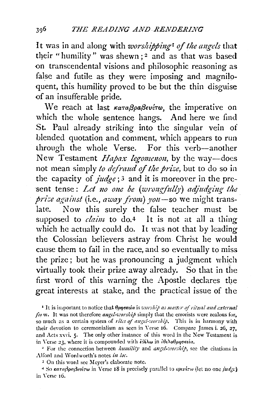It was in and along with *worshipping<sup>1</sup>* of the angels that their "humility" was shewn;<sup>2</sup> and as that was based on transcendental visions and philosophic reasoning as false and futile as they were imposing and magniloquent, this humility proved to be but the thin disguise of an insufferable pride.

We reach at last καταβραβενέτω, the imperative on which the whole sentence hangs. And here we find St. Paul already striking into the singular vein of blended quotation and comment, which appears to run through the whole Verse. For this verb-another New Testament *Hapax legomenon*, by the way-does not mean simply *to defraud of the prize*, but to do so in the capacity of *judge;* 3 and it is moreover in the present tense: Let no one be (wrongfully) adjudging the *prise against* (i.e., *away from*) you -so we might translate. Now this surely the false teacher must be supposed to *claim* to do.<sup>4</sup> It is not at all a thing which he actually could do. It was not that by leading the Colossian believers astray from. Christ he would cause them to fail in the race, and so eventually to miss the prize; but he was pronouncing a judgment which virtually took their prize away already. So that in the first word of this warning the Apostle declares the great interests at stake, and the practical issue of the

<sup>1</sup> It is important to notice that θρησκεία is *worship as matter of ritual and external* for m. It was not therefore *angel-worship* simply that the errorists were zealous for, so much as a certain system of *rites of angel-worship*. This is in harmony with their devotion to ceremonialism as seen in Verse 16. Compare James i. 26, 27, and Acts xxvi, 5. The only other instance of this word in the New Testament is in Verse 23, where it is compounded with *iθέλω* in *iθελοθρησκεία*.

<sup>2</sup> For the connection between *humility* and *angel-worship*, see the citations in Alford and Wordworth's notes in loc.

3 On this word sec Meyer's elaborate note.

 $4$  So *karafipafievérw* in Verse 18 is precisely parallel to *kptvérw* (let no one *judge*) in \'crsc- 16.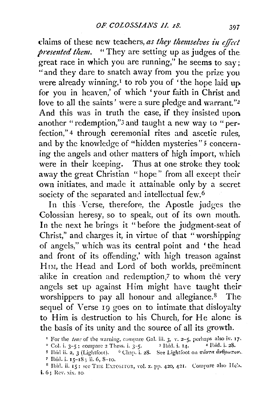claims of these new teachers, *as they themselves in effect presented them.* "They are setting up as judges of the great race in which you are running," he seems to say: "and they dare to snatch away from you the prize you were already winning,<sup> $I$ </sup> to rob you of  $\ell$  the hope laid up. for you in heaven,' of which 'your faith in Christ and love to all the saints' were a sure pledge and warrant."<sup>2</sup> And this was in truth the case, if they insisted upon another "redemption,"3 and taught a new way to "perfection," 4 through ceremonial rites and ascetic rules, and by the knowledge of "hidden mysteries" 5 concerning the angels and other matters of high import, which were in their keeping. Thus at one stroke they took away the great Christian "hope" from all except their own initiates, and made it attainable only by a secret society of the separated and intellectual few.<sup>6</sup>

In this Verse, therefore, the Apostle judges the Colossian heresy, so to speak, out of its own mouth. In the next he brings it "before the judgment-seat of Christ," and charges it, in virtue of that "worshipping of angels," which was its central point and 'the head and front of its offending,' with high treason against HIM, the Head and Lord of both worlds, preeminent. alike in creation and redemption,7 to whom the very angels set up against Him might have taught their· worshippers to pay all honour and allegiance.<sup>8</sup> Thesequel of Verse 19 goes on to intimate that disloyalty to Him is destruction to his Church, for He alone is. the basis of its unity and the source of all its growth.

<sup>&</sup>lt;sup>1</sup> For the *tome* of the warning, compare Gal. iii. 3, v. 2-5, perhaps also iv. 17, <sup>2</sup> Col. i. 3-5; compare 2 Thess. i. 3-5.  $3$  Ibid. i. 14.  $4$  Ibid. i. 28.

<sup>&</sup>lt;sup>5</sup> Ibid ii. 2, 3 (Lightfoot). <sup>6</sup> Chap. i. 28. See Lightfoot on  $\pi\acute{a}$ **rra**  $\acute{a}$ **v** $\theta$ *p* $\omega\pi$ *ov*. 7 Ibid. i. IS-18; ii. 6, 8-IO.

<sup>&</sup>lt;sup>8</sup> Ibid. ii.  $15$ : see THE EXPOSITOR, vol. x. pp. 420, 421. Compare also Heb. i. 6: Rev. xix. 10.